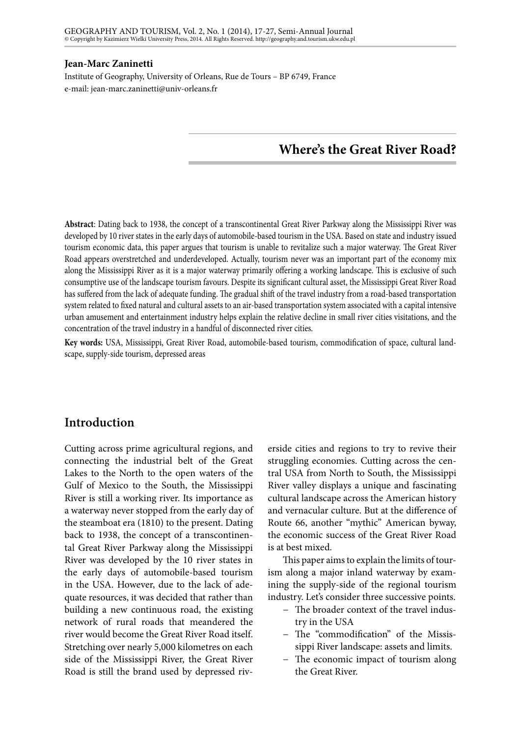### **Jean-Marc Zaninetti**

Institute of Geography, University of Orleans, Rue de Tours – BP 6749, France e-mail: jean-marc.zaninetti@univ-orleans.fr

# **Where's the Great River Road?**

**Abstract**: Dating back to 1938, the concept of a transcontinental Great River Parkway along the Mississippi River was developed by 10 river states in the early days of automobile-based tourism in the USA. Based on state and industry issued tourism economic data, this paper argues that tourism is unable to revitalize such a major waterway. The Great River Road appears overstretched and underdeveloped. Actually, tourism never was an important part of the economy mix along the Mississippi River as it is a major waterway primarily offering a working landscape. This is exclusive of such consumptive use of the landscape tourism favours. Despite its significant cultural asset, the Mississippi Great River Road has suffered from the lack of adequate funding. The gradual shift of the travel industry from a road-based transportation system related to fixed natural and cultural assets to an air-based transportation system associated with a capital intensive urban amusement and entertainment industry helps explain the relative decline in small river cities visitations, and the concentration of the travel industry in a handful of disconnected river cities.

**Key words:** USA, Mississippi, Great River Road, automobile-based tourism, commodification of space, cultural landscape, supply-side tourism, depressed areas

## **Introduction**

Cutting across prime agricultural regions, and connecting the industrial belt of the Great Lakes to the North to the open waters of the Gulf of Mexico to the South, the Mississippi River is still a working river. Its importance as a waterway never stopped from the early day of the steamboat era (1810) to the present. Dating back to 1938, the concept of a transcontinental Great River Parkway along the Mississippi River was developed by the 10 river states in the early days of automobile-based tourism in the USA. However, due to the lack of adequate resources, it was decided that rather than building a new continuous road, the existing network of rural roads that meandered the river would become the Great River Road itself. Stretching over nearly 5,000 kilometres on each side of the Mississippi River, the Great River Road is still the brand used by depressed riv-

erside cities and regions to try to revive their struggling economies. Cutting across the central USA from North to South, the Mississippi River valley displays a unique and fascinating cultural landscape across the American history and vernacular culture. But at the difference of Route 66, another "mythic" American byway, the economic success of the Great River Road is at best mixed.

This paper aims to explain the limits of tourism along a major inland waterway by examining the supply-side of the regional tourism industry. Let's consider three successive points.

- − The broader context of the travel industry in the USA
- − The "commodification" of the Mississippi River landscape: assets and limits.
- − The economic impact of tourism along the Great River.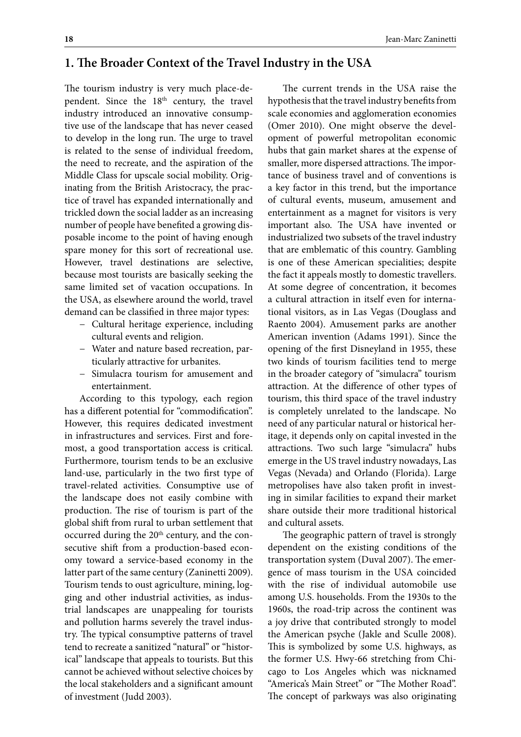## **1. The Broader Context of the Travel Industry in the USA**

The tourism industry is very much place-dependent. Since the 18<sup>th</sup> century, the travel industry introduced an innovative consumptive use of the landscape that has never ceased to develop in the long run. The urge to travel is related to the sense of individual freedom, the need to recreate, and the aspiration of the Middle Class for upscale social mobility. Originating from the British Aristocracy, the practice of travel has expanded internationally and trickled down the social ladder as an increasing number of people have benefited a growing disposable income to the point of having enough spare money for this sort of recreational use. However, travel destinations are selective, because most tourists are basically seeking the same limited set of vacation occupations. In the USA, as elsewhere around the world, travel demand can be classified in three major types:

- − Cultural heritage experience, including cultural events and religion.
- − Water and nature based recreation, particularly attractive for urbanites.
- − Simulacra tourism for amusement and entertainment.

According to this typology, each region has a different potential for "commodification". However, this requires dedicated investment in infrastructures and services. First and foremost, a good transportation access is critical. Furthermore, tourism tends to be an exclusive land-use, particularly in the two first type of travel-related activities. Consumptive use of the landscape does not easily combine with production. The rise of tourism is part of the global shift from rural to urban settlement that occurred during the 20<sup>th</sup> century, and the consecutive shift from a production-based economy toward a service-based economy in the latter part of the same century (Zaninetti 2009). Tourism tends to oust agriculture, mining, logging and other industrial activities, as industrial landscapes are unappealing for tourists and pollution harms severely the travel industry. The typical consumptive patterns of travel tend to recreate a sanitized "natural" or "historical" landscape that appeals to tourists. But this cannot be achieved without selective choices by the local stakeholders and a significant amount of investment (Judd 2003).

The current trends in the USA raise the hypothesis that the travel industry benefits from scale economies and agglomeration economies (Omer 2010). One might observe the development of powerful metropolitan economic hubs that gain market shares at the expense of smaller, more dispersed attractions. The importance of business travel and of conventions is a key factor in this trend, but the importance of cultural events, museum, amusement and entertainment as a magnet for visitors is very important also. The USA have invented or industrialized two subsets of the travel industry that are emblematic of this country. Gambling is one of these American specialities; despite the fact it appeals mostly to domestic travellers. At some degree of concentration, it becomes a cultural attraction in itself even for international visitors, as in Las Vegas (Douglass and Raento 2004). Amusement parks are another American invention (Adams 1991). Since the opening of the first Disneyland in 1955, these two kinds of tourism facilities tend to merge in the broader category of "simulacra" tourism attraction. At the difference of other types of tourism, this third space of the travel industry is completely unrelated to the landscape. No need of any particular natural or historical heritage, it depends only on capital invested in the attractions. Two such large "simulacra" hubs emerge in the US travel industry nowadays, Las Vegas (Nevada) and Orlando (Florida). Large metropolises have also taken profit in investing in similar facilities to expand their market share outside their more traditional historical and cultural assets.

The geographic pattern of travel is strongly dependent on the existing conditions of the transportation system (Duval 2007). The emergence of mass tourism in the USA coincided with the rise of individual automobile use among U.S. households. From the 1930s to the 1960s, the road-trip across the continent was a joy drive that contributed strongly to model the American psyche (Jakle and Sculle 2008). This is symbolized by some U.S. highways, as the former U.S. Hwy-66 stretching from Chicago to Los Angeles which was nicknamed "America's Main Street" or "The Mother Road". The concept of parkways was also originating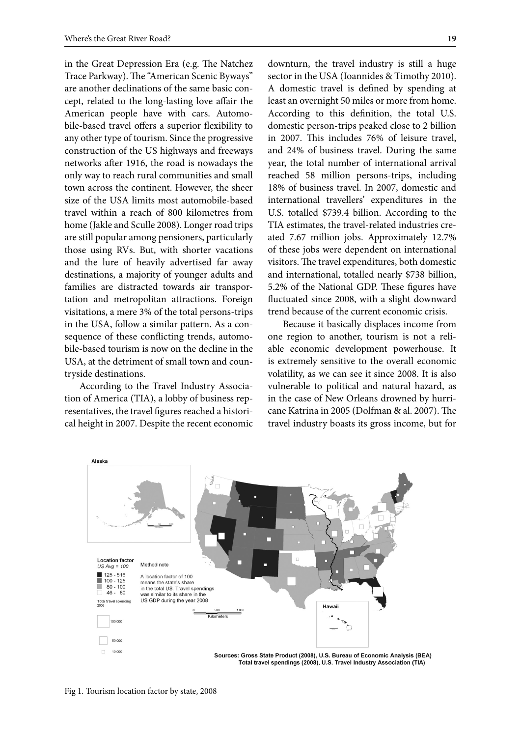in the Great Depression Era (e.g. The Natchez Trace Parkway). The "American Scenic Byways" are another declinations of the same basic concept, related to the long-lasting love affair the American people have with cars. Automobile-based travel offers a superior flexibility to any other type of tourism. Since the progressive construction of the US highways and freeways networks after 1916, the road is nowadays the only way to reach rural communities and small town across the continent. However, the sheer size of the USA limits most automobile-based travel within a reach of 800 kilometres from home (Jakle and Sculle 2008). Longer road trips are still popular among pensioners, particularly those using RVs. But, with shorter vacations and the lure of heavily advertised far away destinations, a majority of younger adults and families are distracted towards air transportation and metropolitan attractions. Foreign visitations, a mere 3% of the total persons-trips in the USA, follow a similar pattern. As a consequence of these conflicting trends, automobile-based tourism is now on the decline in the USA, at the detriment of small town and countryside destinations.

According to the Travel Industry Association of America (TIA), a lobby of business representatives, the travel figures reached a historical height in 2007. Despite the recent economic downturn, the travel industry is still a huge sector in the USA (Ioannides & Timothy 2010). A domestic travel is defined by spending at least an overnight 50 miles or more from home. According to this definition, the total U.S. domestic person-trips peaked close to 2 billion in 2007. This includes 76% of leisure travel, and 24% of business travel. During the same year, the total number of international arrival reached 58 million persons-trips, including 18% of business travel. In 2007, domestic and international travellers' expenditures in the U.S. totalled \$739.4 billion. According to the TIA estimates, the travel-related industries created 7.67 million jobs. Approximately 12.7% of these jobs were dependent on international visitors. The travel expenditures, both domestic and international, totalled nearly \$738 billion, 5.2% of the National GDP. These figures have fluctuated since 2008, with a slight downward trend because of the current economic crisis.

Because it basically displaces income from one region to another, tourism is not a reliable economic development powerhouse. It is extremely sensitive to the overall economic volatility, as we can see it since 2008. It is also vulnerable to political and natural hazard, as in the case of New Orleans drowned by hurricane Katrina in 2005 (Dolfman & al. 2007). The travel industry boasts its gross income, but for



Fig 1. Tourism location factor by state, 2008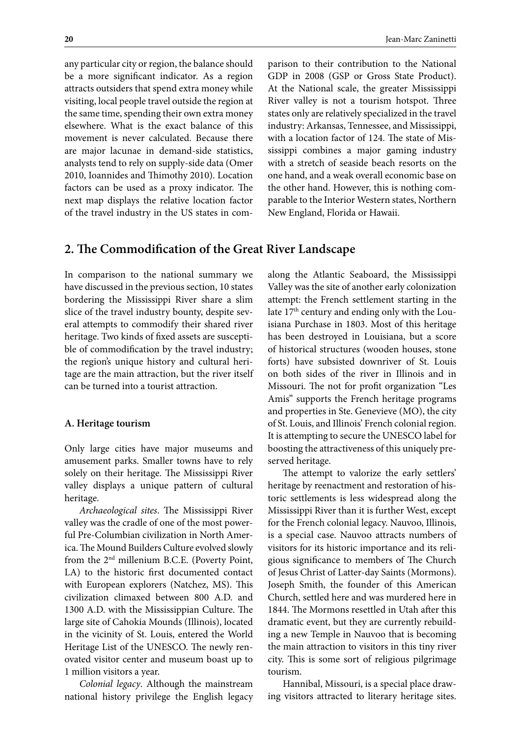any particular city or region, the balance should be a more significant indicator. As a region attracts outsiders that spend extra money while visiting, local people travel outside the region at the same time, spending their own extra money elsewhere. What is the exact balance of this movement is never calculated. Because there are major lacunae in demand-side statistics, analysts tend to rely on supply-side data (Omer 2010, Ioannides and Thimothy 2010). Location factors can be used as a proxy indicator. The next map displays the relative location factor of the travel industry in the US states in com-

parison to their contribution to the National GDP in 2008 (GSP or Gross State Product). At the National scale, the greater Mississippi River valley is not a tourism hotspot. Three states only are relatively specialized in the travel industry: Arkansas, Tennessee, and Mississippi, with a location factor of 124. The state of Mississippi combines a major gaming industry with a stretch of seaside beach resorts on the one hand, and a weak overall economic base on the other hand. However, this is nothing comparable to the Interior Western states, Northern New England, Florida or Hawaii.

## **2. The Commodification of the Great River Landscape**

In comparison to the national summary we have discussed in the previous section, 10 states bordering the Mississippi River share a slim slice of the travel industry bounty, despite several attempts to commodify their shared river heritage. Two kinds of fixed assets are susceptible of commodification by the travel industry; the region's unique history and cultural heritage are the main attraction, but the river itself can be turned into a tourist attraction.

#### **A. Heritage tourism**

Only large cities have major museums and amusement parks. Smaller towns have to rely solely on their heritage. The Mississippi River valley displays a unique pattern of cultural heritage.

*Archaeological sites*. The Mississippi River valley was the cradle of one of the most powerful Pre-Columbian civilization in North America. The Mound Builders Culture evolved slowly from the 2nd millenium B.C.E. (Poverty Point, LA) to the historic first documented contact with European explorers (Natchez, MS). This civilization climaxed between 800 A.D. and 1300 A.D. with the Mississippian Culture. The large site of Cahokia Mounds (Illinois), located in the vicinity of St. Louis, entered the World Heritage List of the UNESCO. The newly renovated visitor center and museum boast up to 1 million visitors a year.

*Colonial legacy*. Although the mainstream national history privilege the English legacy along the Atlantic Seaboard, the Mississippi Valley was the site of another early colonization attempt: the French settlement starting in the late 17<sup>th</sup> century and ending only with the Louisiana Purchase in 1803. Most of this heritage has been destroyed in Louisiana, but a score of historical structures (wooden houses, stone forts) have subsisted downriver of St. Louis on both sides of the river in Illinois and in Missouri. The not for profit organization "Les Amis" supports the French heritage programs and properties in Ste. Genevieve (MO), the city of St. Louis, and Illinois' French colonial region. It is attempting to secure the UNESCO label for boosting the attractiveness of this uniquely preserved heritage.

The attempt to valorize the early settlers' heritage by reenactment and restoration of historic settlements is less widespread along the Mississippi River than it is further West, except for the French colonial legacy. Nauvoo, Illinois, is a special case. Nauvoo attracts numbers of visitors for its historic importance and its religious significance to members of The Church of Jesus Christ of Latter-day Saints (Mormons). Joseph Smith, the founder of this American Church, settled here and was murdered here in 1844. The Mormons resettled in Utah after this dramatic event, but they are currently rebuilding a new Temple in Nauvoo that is becoming the main attraction to visitors in this tiny river city. This is some sort of religious pilgrimage tourism.

Hannibal, Missouri, is a special place drawing visitors attracted to literary heritage sites.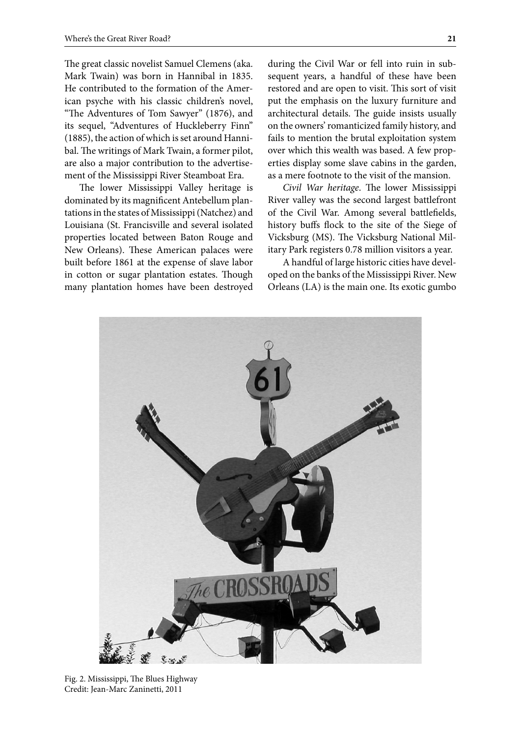The great classic novelist Samuel Clemens (aka. Mark Twain) was born in Hannibal in 1835. He contributed to the formation of the American psyche with his classic children's novel, "The Adventures of Tom Sawyer" (1876), and its sequel, "Adventures of Huckleberry Finn" (1885), the action of which is set around Hannibal. The writings of Mark Twain, a former pilot, are also a major contribution to the advertisement of the Mississippi River Steamboat Era.

The lower Mississippi Valley heritage is dominated by its magnificent Antebellum plantations in the states of Mississippi (Natchez) and Louisiana (St. Francisville and several isolated properties located between Baton Rouge and New Orleans). These American palaces were built before 1861 at the expense of slave labor in cotton or sugar plantation estates. Though many plantation homes have been destroyed during the Civil War or fell into ruin in subsequent years, a handful of these have been restored and are open to visit. This sort of visit put the emphasis on the luxury furniture and architectural details. The guide insists usually on the owners' romanticized family history, and fails to mention the brutal exploitation system over which this wealth was based. A few properties display some slave cabins in the garden, as a mere footnote to the visit of the mansion.

*Civil War heritage*. The lower Mississippi River valley was the second largest battlefront of the Civil War. Among several battlefields, history buffs flock to the site of the Siege of Vicksburg (MS). The Vicksburg National Military Park registers 0.78 million visitors a year.

A handful of large historic cities have developed on the banks of the Mississippi River. New Orleans (LA) is the main one. Its exotic gumbo



Fig. 2. Mississippi, The Blues Highway Credit: Jean-Marc Zaninetti, 2011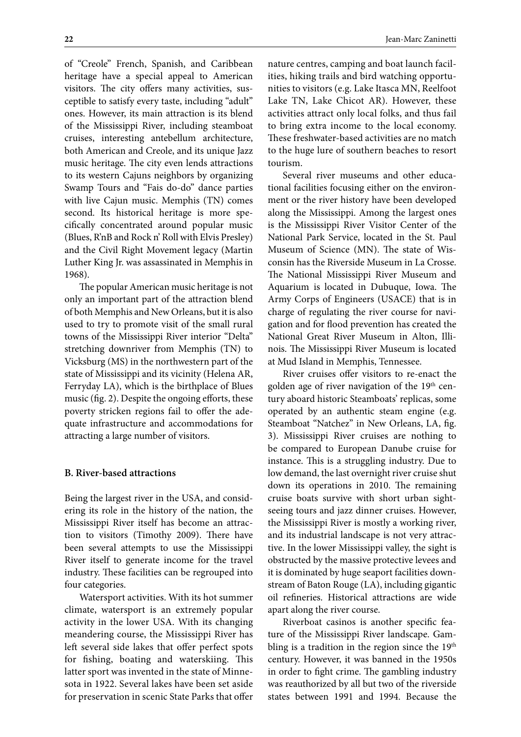of "Creole" French, Spanish, and Caribbean heritage have a special appeal to American visitors. The city offers many activities, susceptible to satisfy every taste, including "adult" ones. However, its main attraction is its blend of the Mississippi River, including steamboat cruises, interesting antebellum architecture, both American and Creole, and its unique Jazz music heritage. The city even lends attractions to its western Cajuns neighbors by organizing Swamp Tours and "Fais do-do" dance parties with live Cajun music. Memphis (TN) comes second. Its historical heritage is more specifically concentrated around popular music (Blues, R'nB and Rock n' Roll with Elvis Presley) and the Civil Right Movement legacy (Martin Luther King Jr. was assassinated in Memphis in 1968).

The popular American music heritage is not only an important part of the attraction blend of both Memphis and New Orleans, but it is also used to try to promote visit of the small rural towns of the Mississippi River interior "Delta" stretching downriver from Memphis (TN) to Vicksburg (MS) in the northwestern part of the state of Mississippi and its vicinity (Helena AR, Ferryday LA), which is the birthplace of Blues music (fig. 2). Despite the ongoing efforts, these poverty stricken regions fail to offer the adequate infrastructure and accommodations for attracting a large number of visitors.

### **B. River-based attractions**

Being the largest river in the USA, and considering its role in the history of the nation, the Mississippi River itself has become an attraction to visitors (Timothy 2009). There have been several attempts to use the Mississippi River itself to generate income for the travel industry. These facilities can be regrouped into four categories.

Watersport activities. With its hot summer climate, watersport is an extremely popular activity in the lower USA. With its changing meandering course, the Mississippi River has left several side lakes that offer perfect spots for fishing, boating and waterskiing. This latter sport was invented in the state of Minnesota in 1922. Several lakes have been set aside for preservation in scenic State Parks that offer

nature centres, camping and boat launch facilities, hiking trails and bird watching opportunities to visitors (e.g. Lake Itasca MN, Reelfoot Lake TN, Lake Chicot AR). However, these activities attract only local folks, and thus fail to bring extra income to the local economy. These freshwater-based activities are no match to the huge lure of southern beaches to resort tourism.

Several river museums and other educational facilities focusing either on the environment or the river history have been developed along the Mississippi. Among the largest ones is the Mississippi River Visitor Center of the National Park Service, located in the St. Paul Museum of Science (MN). The state of Wisconsin has the Riverside Museum in La Crosse. The National Mississippi River Museum and Aquarium is located in Dubuque, Iowa. The Army Corps of Engineers (USACE) that is in charge of regulating the river course for navigation and for flood prevention has created the National Great River Museum in Alton, Illinois. The Mississippi River Museum is located at Mud Island in Memphis, Tennessee.

River cruises offer visitors to re-enact the golden age of river navigation of the 19<sup>th</sup> century aboard historic Steamboats' replicas, some operated by an authentic steam engine (e.g. Steamboat "Natchez" in New Orleans, LA, fig. 3). Mississippi River cruises are nothing to be compared to European Danube cruise for instance. This is a struggling industry. Due to low demand, the last overnight river cruise shut down its operations in 2010. The remaining cruise boats survive with short urban sightseeing tours and jazz dinner cruises. However, the Mississippi River is mostly a working river, and its industrial landscape is not very attractive. In the lower Mississippi valley, the sight is obstructed by the massive protective levees and it is dominated by huge seaport facilities downstream of Baton Rouge (LA), including gigantic oil refineries. Historical attractions are wide apart along the river course.

Riverboat casinos is another specific feature of the Mississippi River landscape. Gambling is a tradition in the region since the 19<sup>th</sup> century. However, it was banned in the 1950s in order to fight crime. The gambling industry was reauthorized by all but two of the riverside states between 1991 and 1994. Because the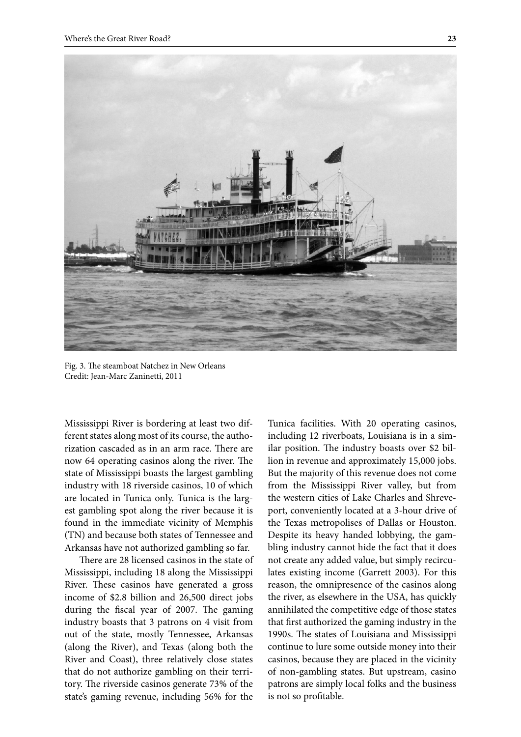

Fig. 3. The steamboat Natchez in New Orleans Credit: Jean-Marc Zaninetti, 2011

Mississippi River is bordering at least two different states along most of its course, the authorization cascaded as in an arm race. There are now 64 operating casinos along the river. The state of Mississippi boasts the largest gambling industry with 18 riverside casinos, 10 of which are located in Tunica only. Tunica is the largest gambling spot along the river because it is found in the immediate vicinity of Memphis (TN) and because both states of Tennessee and Arkansas have not authorized gambling so far.

There are 28 licensed casinos in the state of Mississippi, including 18 along the Mississippi River. These casinos have generated a gross income of \$2.8 billion and 26,500 direct jobs during the fiscal year of 2007. The gaming industry boasts that 3 patrons on 4 visit from out of the state, mostly Tennessee, Arkansas (along the River), and Texas (along both the River and Coast), three relatively close states that do not authorize gambling on their territory. The riverside casinos generate 73% of the state's gaming revenue, including 56% for the

Tunica facilities. With 20 operating casinos, including 12 riverboats, Louisiana is in a similar position. The industry boasts over \$2 billion in revenue and approximately 15,000 jobs. But the majority of this revenue does not come from the Mississippi River valley, but from the western cities of Lake Charles and Shreveport, conveniently located at a 3-hour drive of the Texas metropolises of Dallas or Houston. Despite its heavy handed lobbying, the gambling industry cannot hide the fact that it does not create any added value, but simply recirculates existing income (Garrett 2003). For this reason, the omnipresence of the casinos along the river, as elsewhere in the USA, has quickly annihilated the competitive edge of those states that first authorized the gaming industry in the 1990s. The states of Louisiana and Mississippi continue to lure some outside money into their casinos, because they are placed in the vicinity of non-gambling states. But upstream, casino patrons are simply local folks and the business is not so profitable.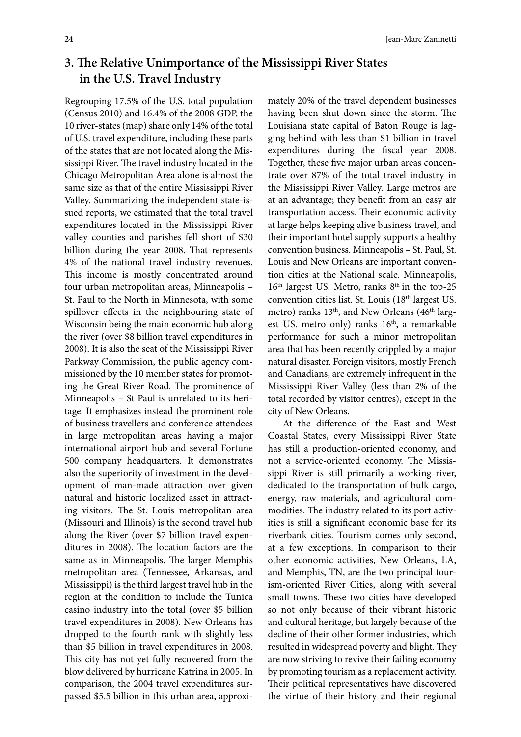# **3. The Relative Unimportance of the Mississippi River States in the U.S. Travel Industry**

Regrouping 17.5% of the U.S. total population (Census 2010) and 16.4% of the 2008 GDP, the 10 river-states (map) share only 14% of the total of U.S. travel expenditure, including these parts of the states that are not located along the Mississippi River. The travel industry located in the Chicago Metropolitan Area alone is almost the same size as that of the entire Mississippi River Valley. Summarizing the independent state-issued reports, we estimated that the total travel expenditures located in the Mississippi River valley counties and parishes fell short of \$30 billion during the year 2008. That represents 4% of the national travel industry revenues. This income is mostly concentrated around four urban metropolitan areas, Minneapolis – St. Paul to the North in Minnesota, with some spillover effects in the neighbouring state of Wisconsin being the main economic hub along the river (over \$8 billion travel expenditures in 2008). It is also the seat of the Mississippi River Parkway Commission, the public agency commissioned by the 10 member states for promoting the Great River Road. The prominence of Minneapolis – St Paul is unrelated to its heritage. It emphasizes instead the prominent role of business travellers and conference attendees in large metropolitan areas having a major international airport hub and several Fortune 500 company headquarters. It demonstrates also the superiority of investment in the development of man-made attraction over given natural and historic localized asset in attracting visitors. The St. Louis metropolitan area (Missouri and Illinois) is the second travel hub along the River (over \$7 billion travel expenditures in 2008). The location factors are the same as in Minneapolis. The larger Memphis metropolitan area (Tennessee, Arkansas, and Mississippi) is the third largest travel hub in the region at the condition to include the Tunica casino industry into the total (over \$5 billion travel expenditures in 2008). New Orleans has dropped to the fourth rank with slightly less than \$5 billion in travel expenditures in 2008. This city has not yet fully recovered from the blow delivered by hurricane Katrina in 2005. In comparison, the 2004 travel expenditures surpassed \$5.5 billion in this urban area, approximately 20% of the travel dependent businesses having been shut down since the storm. The Louisiana state capital of Baton Rouge is lagging behind with less than \$1 billion in travel expenditures during the fiscal year 2008. Together, these five major urban areas concentrate over 87% of the total travel industry in the Mississippi River Valley. Large metros are at an advantage; they benefit from an easy air transportation access. Their economic activity at large helps keeping alive business travel, and their important hotel supply supports a healthy convention business. Minneapolis – St. Paul, St. Louis and New Orleans are important convention cities at the National scale. Minneapolis, 16<sup>th</sup> largest US. Metro, ranks 8<sup>th</sup> in the top-25 convention cities list. St. Louis (18<sup>th</sup> largest US. metro) ranks 13<sup>th</sup>, and New Orleans (46<sup>th</sup> largest US. metro only) ranks 16<sup>th</sup>, a remarkable performance for such a minor metropolitan area that has been recently crippled by a major natural disaster. Foreign visitors, mostly French and Canadians, are extremely infrequent in the Mississippi River Valley (less than 2% of the total recorded by visitor centres), except in the city of New Orleans.

At the difference of the East and West Coastal States, every Mississippi River State has still a production-oriented economy, and not a service-oriented economy. The Mississippi River is still primarily a working river, dedicated to the transportation of bulk cargo, energy, raw materials, and agricultural commodities. The industry related to its port activities is still a significant economic base for its riverbank cities. Tourism comes only second, at a few exceptions. In comparison to their other economic activities, New Orleans, LA, and Memphis, TN, are the two principal tourism-oriented River Cities, along with several small towns. These two cities have developed so not only because of their vibrant historic and cultural heritage, but largely because of the decline of their other former industries, which resulted in widespread poverty and blight. They are now striving to revive their failing economy by promoting tourism as a replacement activity. Their political representatives have discovered the virtue of their history and their regional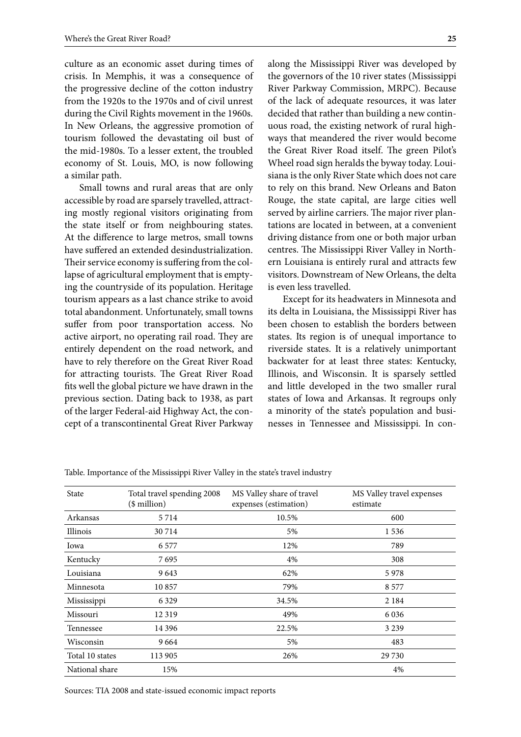culture as an economic asset during times of crisis. In Memphis, it was a consequence of the progressive decline of the cotton industry from the 1920s to the 1970s and of civil unrest during the Civil Rights movement in the 1960s. In New Orleans, the aggressive promotion of tourism followed the devastating oil bust of the mid-1980s. To a lesser extent, the troubled economy of St. Louis, MO, is now following a similar path.

Small towns and rural areas that are only accessible by road are sparsely travelled, attracting mostly regional visitors originating from the state itself or from neighbouring states. At the difference to large metros, small towns have suffered an extended desindustrialization. Their service economy is suffering from the collapse of agricultural employment that is emptying the countryside of its population. Heritage tourism appears as a last chance strike to avoid total abandonment. Unfortunately, small towns suffer from poor transportation access. No active airport, no operating rail road. They are entirely dependent on the road network, and have to rely therefore on the Great River Road for attracting tourists. The Great River Road fits well the global picture we have drawn in the previous section. Dating back to 1938, as part of the larger Federal-aid Highway Act, the concept of a transcontinental Great River Parkway along the Mississippi River was developed by the governors of the 10 river states (Mississippi River Parkway Commission, MRPC). Because of the lack of adequate resources, it was later decided that rather than building a new continuous road, the existing network of rural highways that meandered the river would become the Great River Road itself. The green Pilot's Wheel road sign heralds the byway today. Louisiana is the only River State which does not care to rely on this brand. New Orleans and Baton Rouge, the state capital, are large cities well served by airline carriers. The major river plantations are located in between, at a convenient driving distance from one or both major urban centres. The Mississippi River Valley in Northern Louisiana is entirely rural and attracts few visitors. Downstream of New Orleans, the delta is even less travelled.

Except for its headwaters in Minnesota and its delta in Louisiana, the Mississippi River has been chosen to establish the borders between states. Its region is of unequal importance to riverside states. It is a relatively unimportant backwater for at least three states: Kentucky, Illinois, and Wisconsin. It is sparsely settled and little developed in the two smaller rural states of Iowa and Arkansas. It regroups only a minority of the state's population and businesses in Tennessee and Mississippi. In con-

| <b>State</b>    | Total travel spending 2008<br>$($$ million $)$ | MS Valley share of travel<br>expenses (estimation) | MS Valley travel expenses<br>estimate |
|-----------------|------------------------------------------------|----------------------------------------------------|---------------------------------------|
| Arkansas        | 5 7 1 4                                        | 10.5%                                              | 600                                   |
| Illinois        | 30 7 14                                        | 5%                                                 | 1 5 3 6                               |
| Iowa            | 6 5 7 7                                        | 12%                                                | 789                                   |
| Kentucky        | 7 695                                          | 4%                                                 | 308                                   |
| Louisiana       | 9643                                           | 62%                                                | 5978                                  |
| Minnesota       | 10857                                          | 79%                                                | 8 5 7 7                               |
| Mississippi     | 6 3 2 9                                        | 34.5%                                              | 2 1 8 4                               |
| Missouri        | 12319                                          | 49%                                                | 6 0 3 6                               |
| Tennessee       | 14 3 9 6                                       | 22.5%                                              | 3 2 3 9                               |
| Wisconsin       | 9664                                           | 5%                                                 | 483                                   |
| Total 10 states | 113 905                                        | 26%                                                | 29 730                                |
| National share  | 15%                                            |                                                    | 4%                                    |

Table. Importance of the Mississippi River Valley in the state's travel industry

Sources: TIA 2008 and state-issued economic impact reports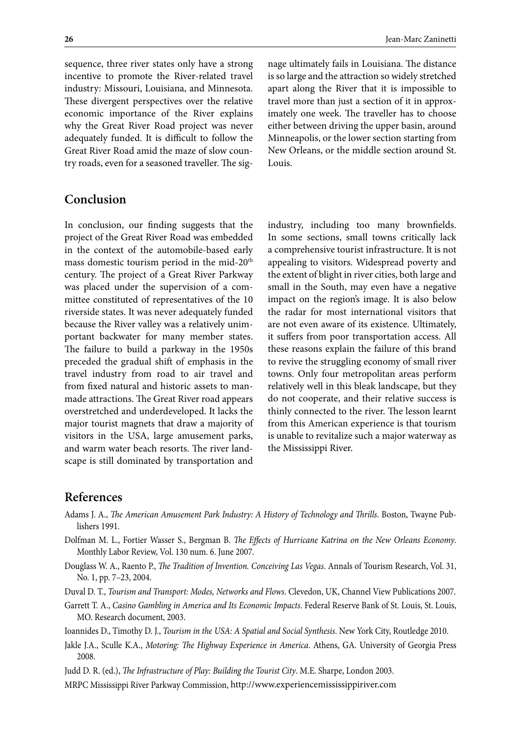sequence, three river states only have a strong incentive to promote the River-related travel industry: Missouri, Louisiana, and Minnesota. These divergent perspectives over the relative economic importance of the River explains why the Great River Road project was never adequately funded. It is difficult to follow the Great River Road amid the maze of slow country roads, even for a seasoned traveller. The signage ultimately fails in Louisiana. The distance is so large and the attraction so widely stretched apart along the River that it is impossible to travel more than just a section of it in approximately one week. The traveller has to choose either between driving the upper basin, around Minneapolis, or the lower section starting from New Orleans, or the middle section around St. Louis.

## **Conclusion**

In conclusion, our finding suggests that the project of the Great River Road was embedded in the context of the automobile-based early mass domestic tourism period in the mid-20<sup>th</sup> century. The project of a Great River Parkway was placed under the supervision of a committee constituted of representatives of the 10 riverside states. It was never adequately funded because the River valley was a relatively unimportant backwater for many member states. The failure to build a parkway in the 1950s preceded the gradual shift of emphasis in the travel industry from road to air travel and from fixed natural and historic assets to manmade attractions. The Great River road appears overstretched and underdeveloped. It lacks the major tourist magnets that draw a majority of visitors in the USA, large amusement parks, and warm water beach resorts. The river landscape is still dominated by transportation and

industry, including too many brownfields. In some sections, small towns critically lack a comprehensive tourist infrastructure. It is not appealing to visitors. Widespread poverty and the extent of blight in river cities, both large and small in the South, may even have a negative impact on the region's image. It is also below the radar for most international visitors that are not even aware of its existence. Ultimately, it suffers from poor transportation access. All these reasons explain the failure of this brand to revive the struggling economy of small river towns. Only four metropolitan areas perform relatively well in this bleak landscape, but they do not cooperate, and their relative success is thinly connected to the river. The lesson learnt from this American experience is that tourism is unable to revitalize such a major waterway as the Mississippi River.

## **References**

- Adams J. A., *The American Amusement Park Industry: A History of Technology and Thrills*. Boston, Twayne Publishers 1991.
- Dolfman M. L., Fortier Wasser S., Bergman B. *The Effects of Hurricane Katrina on the New Orleans Economy*. Monthly Labor Review, Vol. 130 num. 6. June 2007.
- Douglass W. A., Raento P., *The Tradition of Invention. Conceiving Las Vegas*. Annals of Tourism Research, Vol. 31, No. 1, pp. 7–23, 2004.
- Duval D. T., *Tourism and Transport: Modes, Networks and Flows*. Clevedon, UK, Channel View Publications 2007.
- Garrett T. A., *Casino Gambling in America and Its Economic Impacts*. Federal Reserve Bank of St. Louis, St. Louis, MO. Research document, 2003.
- Ioannides D., Timothy D. J., *Tourism in the USA: A Spatial and Social Synthesis*. New York City, Routledge 2010.
- Jakle J.A., Sculle K.A., *Motoring: The Highway Experience in America*. Athens, GA. University of Georgia Press 2008.

Judd D. R. (ed.), *The Infrastructure of Play: Building the Tourist City*. M.E. Sharpe, London 2003.

MRPC Mississippi River Parkway Commission, [http://www.experiencemississippiriver.com](http://www.experiencemississippiriver.com/)